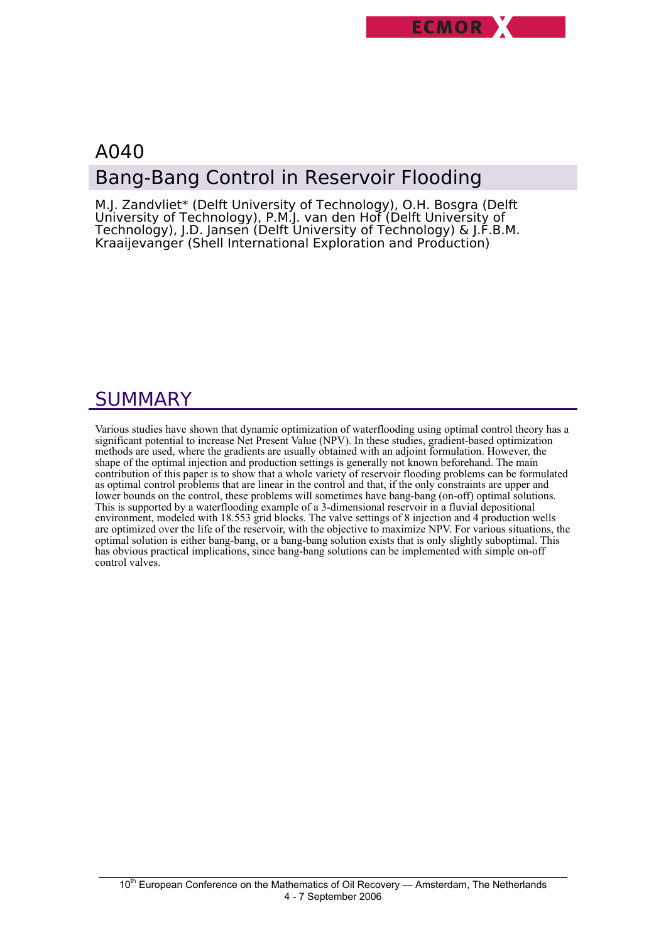

# A040 Bang-Bang Control in Reservoir Flooding

M.J. Zandvliet\* (Delft University of Technology), O.H. Bosgra (Delft University of Technology), P.M.J. van den Hof (Delft University of Technology), J.D. Jansen (Delft University of Technology) & J.F.B.M. Kraaijevanger (Shell International Exploration and Production)

# SUMMARY

Various studies have shown that dynamic optimization of waterflooding using optimal control theory has a significant potential to increase Net Present Value (NPV). In these studies, gradient-based optimization methods are used, where the gradients are usually obtained with an adjoint formulation. However, the shape of the optimal injection and production settings is generally not known beforehand. The main contribution of this paper is to show that a whole variety of reservoir flooding problems can be formulated as optimal control problems that are linear in the control and that, if the only constraints are upper and lower bounds on the control, these problems will sometimes have bang-bang (on-off) optimal solutions. This is supported by a waterflooding example of a 3-dimensional reservoir in a fluvial depositional environment, modeled with 18.553 grid blocks. The valve settings of 8 injection and 4 production wells are optimized over the life of the reservoir, with the objective to maximize NPV. For various situations, the optimal solution is either bang-bang, or a bang-bang solution exists that is only slightly suboptimal. This has obvious practical implications, since bang-bang solutions can be implemented with simple on-off control valves.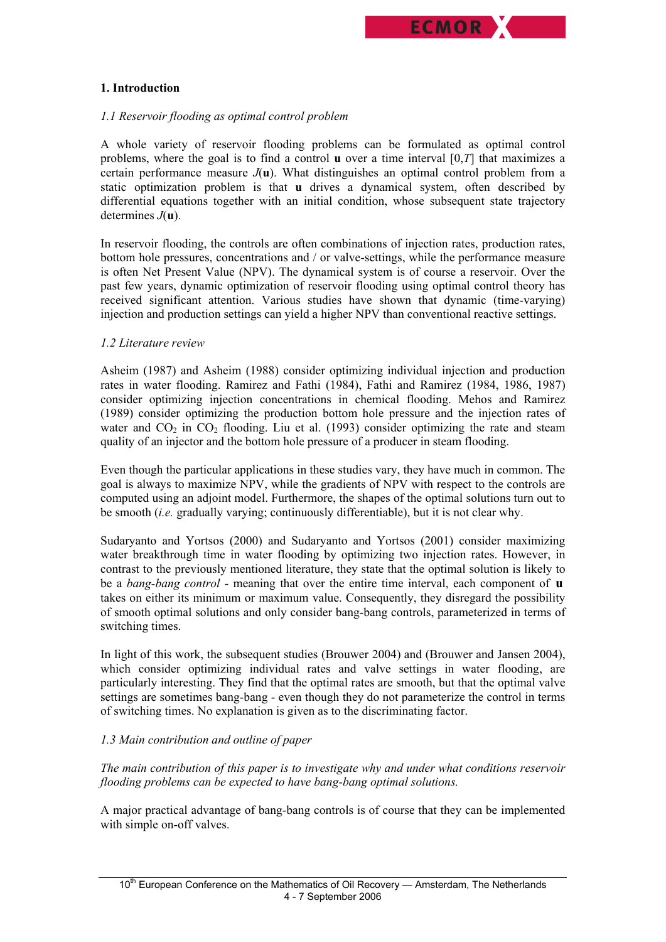

## **1. Introduction**

## *1.1 Reservoir flooding as optimal control problem*

A whole variety of reservoir flooding problems can be formulated as optimal control problems, where the goal is to find a control **u** over a time interval [0,*T*] that maximizes a certain performance measure  $J(\mathbf{u})$ . What distinguishes an optimal control problem from a static optimization problem is that **u** drives a dynamical system, often described by differential equations together with an initial condition, whose subsequent state trajectory determines *J*(**u**).

In reservoir flooding, the controls are often combinations of injection rates, production rates, bottom hole pressures, concentrations and / or valve-settings, while the performance measure is often Net Present Value (NPV). The dynamical system is of course a reservoir. Over the past few years, dynamic optimization of reservoir flooding using optimal control theory has received significant attention. Various studies have shown that dynamic (time-varying) injection and production settings can yield a higher NPV than conventional reactive settings.

## *1.2 Literature review*

Asheim (1987) and Asheim (1988) consider optimizing individual injection and production rates in water flooding. Ramirez and Fathi (1984), Fathi and Ramirez (1984, 1986, 1987) consider optimizing injection concentrations in chemical flooding. Mehos and Ramirez (1989) consider optimizing the production bottom hole pressure and the injection rates of water and  $CO<sub>2</sub>$  in  $CO<sub>2</sub>$  flooding. Liu et al. (1993) consider optimizing the rate and steam quality of an injector and the bottom hole pressure of a producer in steam flooding.

Even though the particular applications in these studies vary, they have much in common. The goal is always to maximize NPV, while the gradients of NPV with respect to the controls are computed using an adjoint model. Furthermore, the shapes of the optimal solutions turn out to be smooth (*i.e.* gradually varying; continuously differentiable), but it is not clear why.

Sudaryanto and Yortsos (2000) and Sudaryanto and Yortsos (2001) consider maximizing water breakthrough time in water flooding by optimizing two injection rates. However, in contrast to the previously mentioned literature, they state that the optimal solution is likely to be a *bang-bang control* - meaning that over the entire time interval, each component of **u** takes on either its minimum or maximum value. Consequently, they disregard the possibility of smooth optimal solutions and only consider bang-bang controls, parameterized in terms of switching times.

In light of this work, the subsequent studies (Brouwer 2004) and (Brouwer and Jansen 2004), which consider optimizing individual rates and valve settings in water flooding, are particularly interesting. They find that the optimal rates are smooth, but that the optimal valve settings are sometimes bang-bang - even though they do not parameterize the control in terms of switching times. No explanation is given as to the discriminating factor.

# *1.3 Main contribution and outline of paper*

*The main contribution of this paper is to investigate why and under what conditions reservoir flooding problems can be expected to have bang-bang optimal solutions.* 

A major practical advantage of bang-bang controls is of course that they can be implemented with simple on-off valves.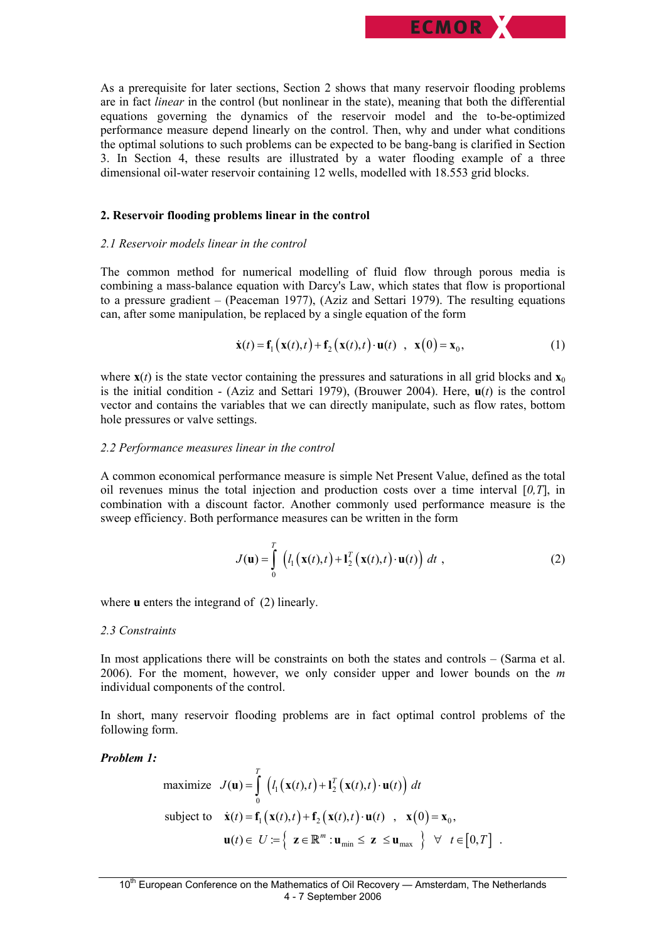

As a prerequisite for later sections, Section 2 shows that many reservoir flooding problems are in fact *linear* in the control (but nonlinear in the state), meaning that both the differential equations governing the dynamics of the reservoir model and the to-be-optimized performance measure depend linearly on the control. Then, why and under what conditions the optimal solutions to such problems can be expected to be bang-bang is clarified in Section 3. In Section 4, these results are illustrated by a water flooding example of a three dimensional oil-water reservoir containing 12 wells, modelled with 18.553 grid blocks.

### **2. Reservoir flooding problems linear in the control**

### *2.1 Reservoir models linear in the control*

The common method for numerical modelling of fluid flow through porous media is combining a mass-balance equation with Darcy's Law, which states that flow is proportional to a pressure gradient – (Peaceman 1977), (Aziz and Settari 1979). The resulting equations can, after some manipulation, be replaced by a single equation of the form

$$
\dot{\mathbf{x}}(t) = \mathbf{f}_1\big(\mathbf{x}(t), t\big) + \mathbf{f}_2\big(\mathbf{x}(t), t\big) \cdot \mathbf{u}(t) \quad , \quad \mathbf{x}(0) = \mathbf{x}_0, \tag{1}
$$

where  $\mathbf{x}(t)$  is the state vector containing the pressures and saturations in all grid blocks and  $\mathbf{x}_0$ is the initial condition - (Aziz and Settari 1979), (Brouwer 2004). Here, **u**(*t*) is the control vector and contains the variables that we can directly manipulate, such as flow rates, bottom hole pressures or valve settings.

### *2.2 Performance measures linear in the control*

A common economical performance measure is simple Net Present Value, defined as the total oil revenues minus the total injection and production costs over a time interval [*0,T*], in combination with a discount factor. Another commonly used performance measure is the sweep efficiency. Both performance measures can be written in the form

$$
J(\mathbf{u}) = \int_{0}^{T} \left( l_1(\mathbf{x}(t), t) + \mathbf{l}_2^{T}(\mathbf{x}(t), t) \cdot \mathbf{u}(t) \right) dt , \qquad (2)
$$

where **u** enters the integrand of (2) linearly.

#### *2.3 Constraints*

In most applications there will be constraints on both the states and controls – (Sarma et al. 2006). For the moment, however, we only consider upper and lower bounds on the *m*  individual components of the control.

In short, many reservoir flooding problems are in fact optimal control problems of the following form.

## *Problem 1:*

maximize 
$$
J(\mathbf{u}) = \int_{0}^{T} (l_1(\mathbf{x}(t), t) + \mathbf{l}_2^T(\mathbf{x}(t), t) \cdot \mathbf{u}(t)) dt
$$
  
\nsubject to  $\dot{\mathbf{x}}(t) = \mathbf{f}_1(\mathbf{x}(t), t) + \mathbf{f}_2(\mathbf{x}(t), t) \cdot \mathbf{u}(t)$ ,  $\mathbf{x}(0) = \mathbf{x}_0$ ,  
\n $\mathbf{u}(t) \in U := \left\{ \mathbf{z} \in \mathbb{R}^m : \mathbf{u}_{\text{min}} \leq \mathbf{z} \leq \mathbf{u}_{\text{max}} \right\} \forall t \in [0, T]$ .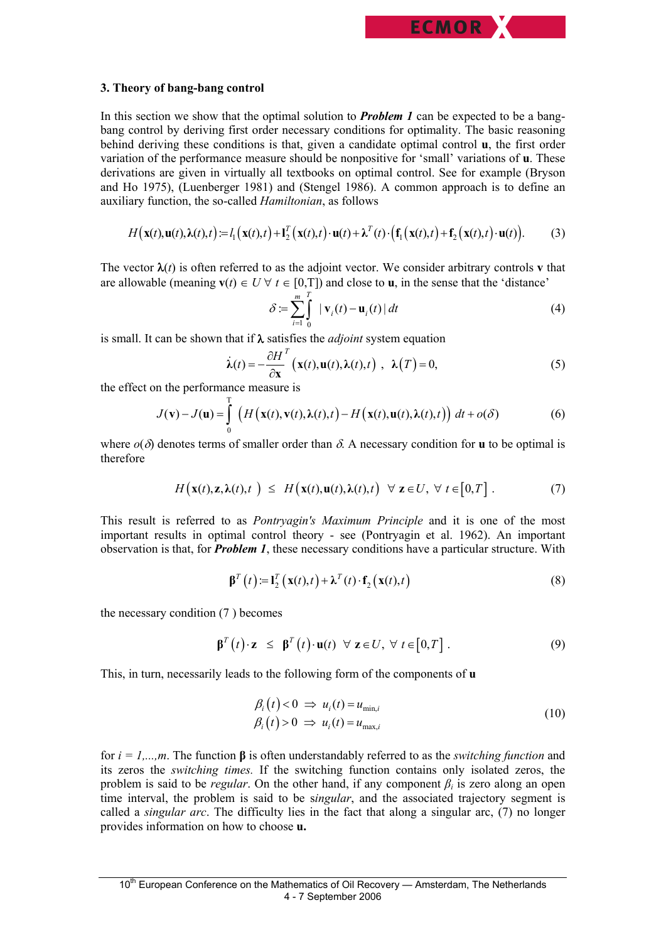

### **3. Theory of bang-bang control**

In this section we show that the optimal solution to *Problem 1* can be expected to be a bangbang control by deriving first order necessary conditions for optimality. The basic reasoning behind deriving these conditions is that, given a candidate optimal control **u**, the first order variation of the performance measure should be nonpositive for 'small' variations of **u**. These derivations are given in virtually all textbooks on optimal control. See for example (Bryson and Ho 1975), (Luenberger 1981) and (Stengel 1986). A common approach is to define an auxiliary function, the so-called *Hamiltonian*, as follows

$$
H\big(\mathbf{x}(t),\mathbf{u}(t),\lambda(t),t\big) = l_1\big(\mathbf{x}(t),t\big) + l_2^T\big(\mathbf{x}(t),t\big) \cdot \mathbf{u}(t) + \lambda^T(t) \cdot \big(\mathbf{f}_1\big(\mathbf{x}(t),t\big) + \mathbf{f}_2\big(\mathbf{x}(t),t\big) \cdot \mathbf{u}(t)\big). \tag{3}
$$

The vector  $\lambda(t)$  is often referred to as the adjoint vector. We consider arbitrary controls **v** that are allowable (meaning  $\mathbf{v}(t) \in U \ \forall t \in [0,T]$ ) and close to **u**, in the sense that the 'distance'

$$
\delta := \sum_{i=1}^{m} \int_{0}^{T} \left| \mathbf{v}_i(t) - \mathbf{u}_i(t) \right| dt \tag{4}
$$

is small. It can be shown that if λ satisfies the *adjoint* system equation

$$
\dot{\lambda}(t) = -\frac{\partial H}{\partial x}^{T} \left( \mathbf{x}(t), \mathbf{u}(t), \lambda(t), t \right) , \ \lambda(T) = 0, \tag{5}
$$

the effect on the performance measure is

$$
J(\mathbf{v}) - J(\mathbf{u}) = \int_{0}^{T} \left( H\big(\mathbf{x}(t), \mathbf{v}(t), \lambda(t), t\big) - H\big(\mathbf{x}(t), \mathbf{u}(t), \lambda(t), t\big) \right) dt + o(\delta)
$$
(6)

where  $o(\delta)$  denotes terms of smaller order than  $\delta$ . A necessary condition for **u** to be optimal is therefore

$$
H\big(\mathbf{x}(t),\mathbf{z},\lambda(t),t\big) \leq H\big(\mathbf{x}(t),\mathbf{u}(t),\lambda(t),t\big) \quad \forall \ \mathbf{z} \in U, \ \forall \ t \in [0,T]. \tag{7}
$$

This result is referred to as *Pontryagin's Maximum Principle* and it is one of the most important results in optimal control theory - see (Pontryagin et al. 1962). An important observation is that, for *Problem 1*, these necessary conditions have a particular structure. With

$$
\boldsymbol{\beta}^{T}(t) := \mathbf{l}_{2}^{T}(\mathbf{x}(t), t) + \boldsymbol{\lambda}^{T}(t) \cdot \mathbf{f}_{2}(\mathbf{x}(t), t)
$$
\n(8)

the necessary condition (7 ) becomes

$$
\boldsymbol{\beta}^T(t) \cdot \mathbf{z} \leq \boldsymbol{\beta}^T(t) \cdot \mathbf{u}(t) \ \forall \ \mathbf{z} \in U, \ \forall \ t \in [0, T]. \tag{9}
$$

This, in turn, necessarily leads to the following form of the components of **u** 

$$
\beta_i(t) < 0 \implies u_i(t) = u_{\min,i} \n\beta_i(t) > 0 \implies u_i(t) = u_{\max,i}
$$
\n
$$
\tag{10}
$$

for *i = 1,...,m*. The function **β** is often understandably referred to as the *switching function* and its zeros the *switching times.* If the switching function contains only isolated zeros, the problem is said to be *regular*. On the other hand, if any component *βi* is zero along an open time interval, the problem is said to be s*ingular*, and the associated trajectory segment is called a *singular arc*. The difficulty lies in the fact that along a singular arc, (7) no longer provides information on how to choose **u.**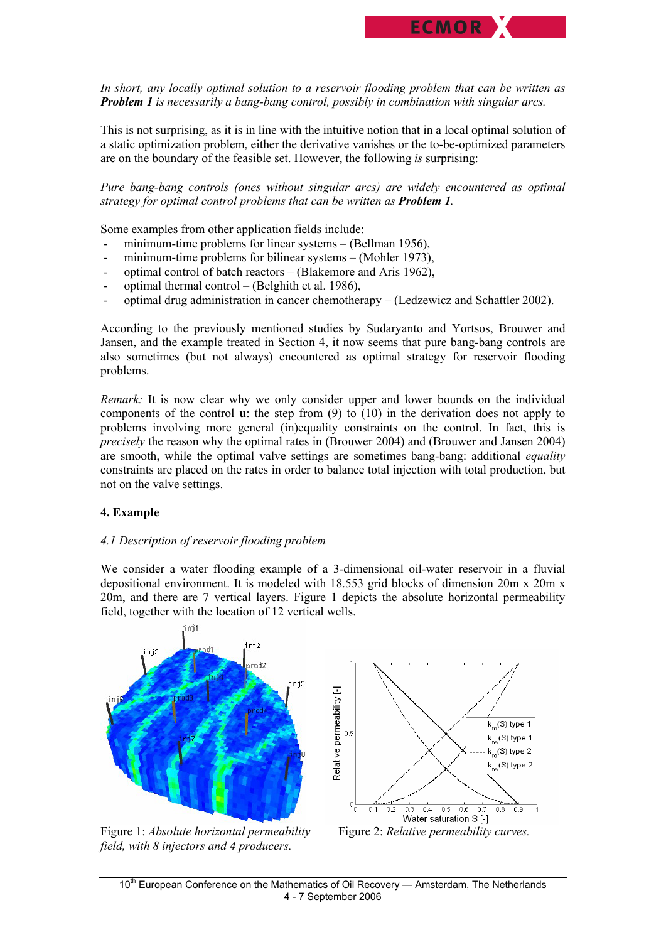*In short, any locally optimal solution to a reservoir flooding problem that can be written as Problem 1 is necessarily a bang-bang control, possibly in combination with singular arcs.* 

ECMOR<sup>Y</sup>

This is not surprising, as it is in line with the intuitive notion that in a local optimal solution of a static optimization problem, either the derivative vanishes or the to-be-optimized parameters are on the boundary of the feasible set. However, the following *is* surprising:

*Pure bang-bang controls (ones without singular arcs) are widely encountered as optimal strategy for optimal control problems that can be written as Problem 1.* 

Some examples from other application fields include:

- minimum-time problems for linear systems (Bellman 1956),
- minimum-time problems for bilinear systems  $-$  (Mohler 1973),
- optimal control of batch reactors (Blakemore and Aris 1962),
- optimal thermal control (Belghith et al. 1986),
- optimal drug administration in cancer chemotherapy (Ledzewicz and Schattler 2002).

According to the previously mentioned studies by Sudaryanto and Yortsos, Brouwer and Jansen, and the example treated in Section 4, it now seems that pure bang-bang controls are also sometimes (but not always) encountered as optimal strategy for reservoir flooding problems.

*Remark:* It is now clear why we only consider upper and lower bounds on the individual components of the control **u**: the step from (9) to (10) in the derivation does not apply to problems involving more general (in)equality constraints on the control. In fact, this is *precisely* the reason why the optimal rates in (Brouwer 2004) and (Brouwer and Jansen 2004) are smooth, while the optimal valve settings are sometimes bang-bang: additional *equality* constraints are placed on the rates in order to balance total injection with total production, but not on the valve settings.

# **4. Example**

#### *4.1 Description of reservoir flooding problem*

We consider a water flooding example of a 3-dimensional oil-water reservoir in a fluvial depositional environment. It is modeled with 18.553 grid blocks of dimension 20m x 20m x 20m, and there are 7 vertical layers. Figure 1 depicts the absolute horizontal permeability field, together with the location of 12 vertical wells.



*field, with 8 injectors and 4 producers.* 

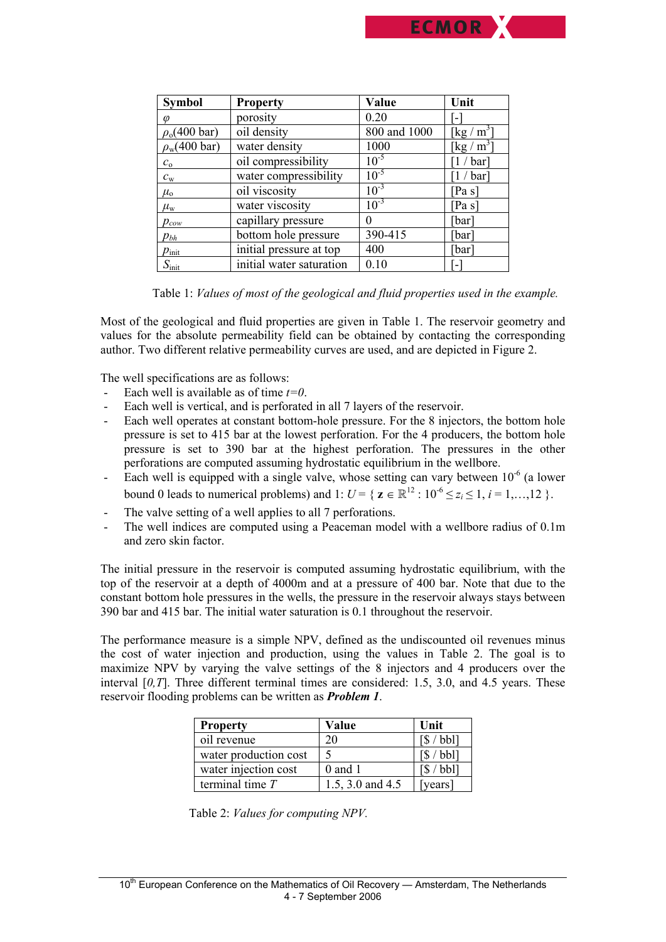

Table 1: *Values of most of the geological and fluid properties used in the example.*

Most of the geological and fluid properties are given in Table 1. The reservoir geometry and values for the absolute permeability field can be obtained by contacting the corresponding author. Two different relative permeability curves are used, and are depicted in Figure 2.

The well specifications are as follows:

- Each well is available as of time *t=0*.
- Each well is vertical, and is perforated in all 7 layers of the reservoir.
- Each well operates at constant bottom-hole pressure. For the 8 injectors, the bottom hole pressure is set to 415 bar at the lowest perforation. For the 4 producers, the bottom hole pressure is set to 390 bar at the highest perforation. The pressures in the other perforations are computed assuming hydrostatic equilibrium in the wellbore.
- Each well is equipped with a single valve, whose setting can vary between  $10^{-6}$  (a lower bound 0 leads to numerical problems) and 1:  $U = \{ z \in \mathbb{R}^{12} : 10^{-6} \le z_i \le 1, i = 1, ..., 12 \}$ .
- The valve setting of a well applies to all 7 perforations.
- The well indices are computed using a Peaceman model with a wellbore radius of 0.1m and zero skin factor.

The initial pressure in the reservoir is computed assuming hydrostatic equilibrium, with the top of the reservoir at a depth of 4000m and at a pressure of 400 bar. Note that due to the constant bottom hole pressures in the wells, the pressure in the reservoir always stays between 390 bar and 415 bar. The initial water saturation is 0.1 throughout the reservoir.

The performance measure is a simple NPV, defined as the undiscounted oil revenues minus the cost of water injection and production, using the values in Table 2. The goal is to maximize NPV by varying the valve settings of the 8 injectors and 4 producers over the interval [*0,T*]. Three different terminal times are considered: 1.5, 3.0, and 4.5 years. These reservoir flooding problems can be written as *Problem 1*.

| <b>Property</b>       | Value            | Unit                              |
|-----------------------|------------------|-----------------------------------|
| oil revenue           | 20               | $\left[\frac{1}{2}\right]$ bbl]   |
| water production cost |                  | $'$ bbl]                          |
| water injection cost  | $0$ and 1        | $\left[\frac{1}{2}\right]$ / bbl] |
| terminal time $T$     | 1.5, 3.0 and 4.5 | [years]                           |

Table 2: *Values for computing NPV.*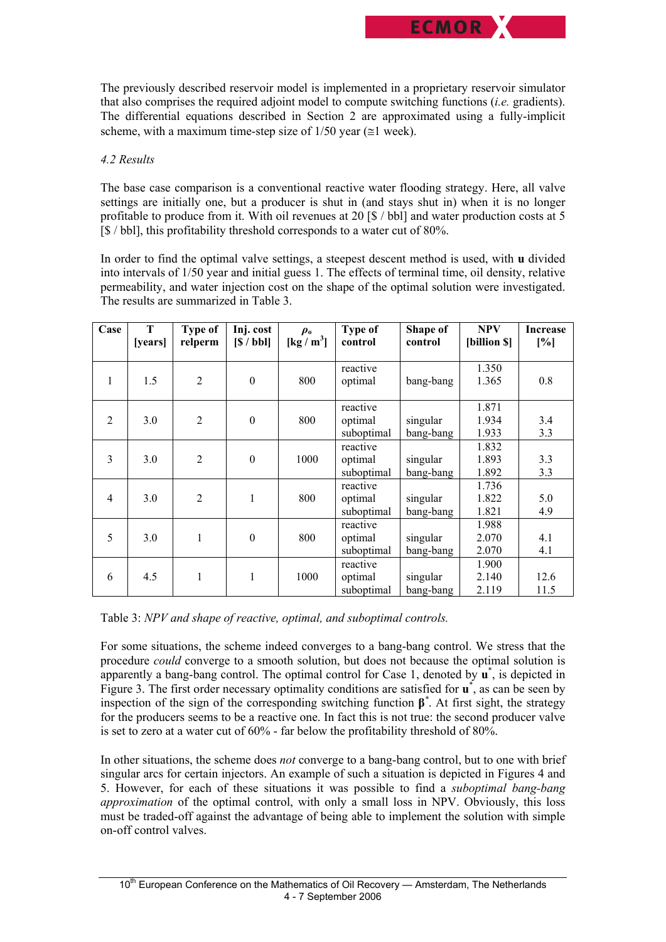The previously described reservoir model is implemented in a proprietary reservoir simulator that also comprises the required adjoint model to compute switching functions (*i.e.* gradients). The differential equations described in Section 2 are approximated using a fully-implicit scheme, with a maximum time-step size of  $1/50$  year ( $\leq 1$  week).

**ECMOR** 

# *4.2 Results*

The base case comparison is a conventional reactive water flooding strategy. Here, all valve settings are initially one, but a producer is shut in (and stays shut in) when it is no longer profitable to produce from it. With oil revenues at 20 [\$ / bbl] and water production costs at 5 [\$ / bbl], this profitability threshold corresponds to a water cut of 80%.

In order to find the optimal valve settings, a steepest descent method is used, with **u** divided into intervals of 1/50 year and initial guess 1. The effects of terminal time, oil density, relative permeability, and water injection cost on the shape of the optimal solution were investigated. The results are summarized in Table 3.

| Case           | T<br><i>vears</i> | Type of<br>relperm | Inj. cost<br>S / bbl | $\rho_{\rm o}$<br>$\left[\frac{\text{kg}}{\text{m}^3}\right]$ | <b>Type of</b><br>control         | Shape of<br>control   | <b>NPV</b><br>[billion \$] | <b>Increase</b><br>[%] |
|----------------|-------------------|--------------------|----------------------|---------------------------------------------------------------|-----------------------------------|-----------------------|----------------------------|------------------------|
| 1              | 1.5               | $\overline{2}$     | $\theta$             | 800                                                           | reactive<br>optimal               | bang-bang             | 1.350<br>1.365             | 0.8                    |
| $\overline{2}$ | 3.0               | $\overline{2}$     | $\mathbf{0}$         | 800                                                           | reactive<br>optimal<br>suboptimal | singular<br>bang-bang | 1.871<br>1.934<br>1.933    | 3.4<br>3.3             |
| $\overline{3}$ | 3.0               | $\overline{2}$     | $\boldsymbol{0}$     | 1000                                                          | reactive<br>optimal<br>suboptimal | singular<br>bang-bang | 1.832<br>1.893<br>1.892    | 3.3<br>3.3             |
| $\overline{4}$ | 3.0               | $\overline{2}$     | 1                    | 800                                                           | reactive<br>optimal<br>suboptimal | singular<br>bang-bang | 1.736<br>1.822<br>1.821    | 5.0<br>4.9             |
| 5              | 3.0               | $\mathbf{1}$       | $\mathbf{0}$         | 800                                                           | reactive<br>optimal<br>suboptimal | singular<br>bang-bang | 1.988<br>2.070<br>2.070    | 4.1<br>4.1             |
| 6              | 4.5               | $\mathbf{1}$       | 1                    | 1000                                                          | reactive<br>optimal<br>suboptimal | singular<br>bang-bang | 1.900<br>2.140<br>2.119    | 12.6<br>11.5           |

Table 3: *NPV and shape of reactive, optimal, and suboptimal controls.*

For some situations, the scheme indeed converges to a bang-bang control. We stress that the procedure *could* converge to a smooth solution, but does not because the optimal solution is apparently a bang-bang control. The optimal control for Case 1, denoted by **u**\* , is depicted in Figure 3. The first order necessary optimality conditions are satisfied for **u**\* , as can be seen by inspection of the sign of the corresponding switching function **β***\** . At first sight, the strategy for the producers seems to be a reactive one. In fact this is not true: the second producer valve is set to zero at a water cut of 60% - far below the profitability threshold of 80%.

In other situations, the scheme does *not* converge to a bang-bang control, but to one with brief singular arcs for certain injectors. An example of such a situation is depicted in Figures 4 and 5. However, for each of these situations it was possible to find a *suboptimal bang-bang approximation* of the optimal control, with only a small loss in NPV. Obviously, this loss must be traded-off against the advantage of being able to implement the solution with simple on-off control valves.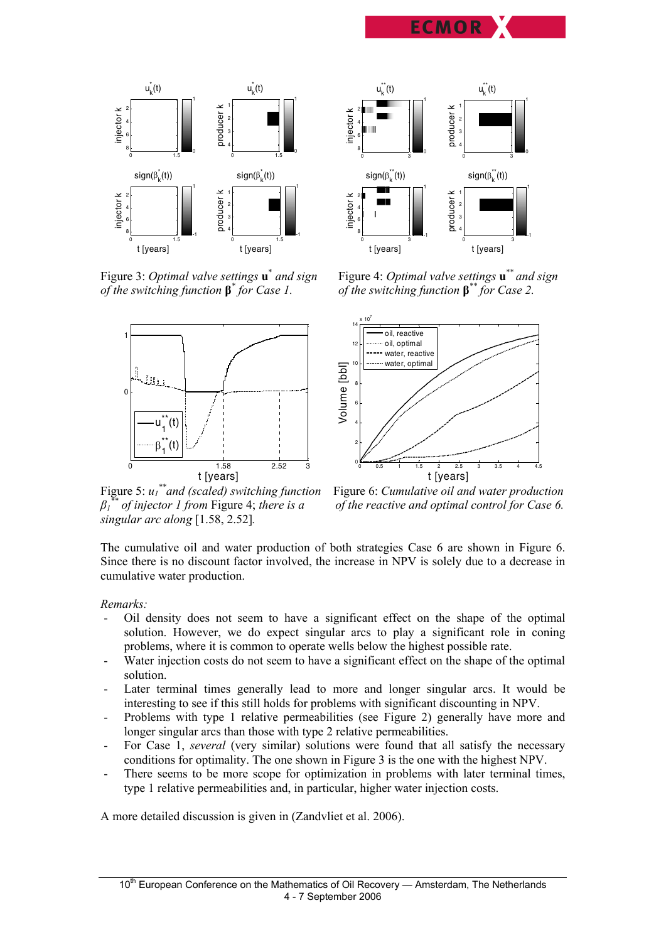



Figure 3: *Optimal valve settings* **u**\* *of the switching function* **β***\**



 $u_k^{\text{**}}(t)$ injector k 0 3 2 4 6 8 **1 1 1 1 1 1 1 1 1 1 1 1 1 1 1 1 1 1** 1 1  $sign(\beta_k^{**}(t))$ t [years] injector k 0 3 2 4 6 <sup>8</sup> -1 1  $u_k^{\text{**}}(t)$ producer k 0 3 1 2 3 4  $\mathsf{C}$ 1  $sign(\beta_k^{**}(t))$ producer t [years] 0 3 1 2 3 4 -1 1

 *and sign* Figure 4: *Optimal valve settings* **u**\*\* *and sign for Case 1. of the switching function* **β***\*\* for Case 2.* 



Figure 5:  $u_1$ <sup>\*\*</sup> and (scaled) switching function  $\beta$ <sup>\*</sup>*i*</sup> *of injector 1 from Figure 4; there is a singular arc along* [1.58, 2.52]*.* 

*\*\*and (scaled) switching function* Figure 6: *Cumulative oil and water production f* the reactive and optimal control for Case 6.

The cumulative oil and water production of both strategies Case 6 are shown in Figure 6. Since there is no discount factor involved, the increase in NPV is solely due to a decrease in cumulative water production.

#### *Remarks:*

- Oil density does not seem to have a significant effect on the shape of the optimal solution. However, we do expect singular arcs to play a significant role in coning problems, where it is common to operate wells below the highest possible rate.
- Water injection costs do not seem to have a significant effect on the shape of the optimal solution.
- Later terminal times generally lead to more and longer singular arcs. It would be interesting to see if this still holds for problems with significant discounting in NPV.
- Problems with type 1 relative permeabilities (see Figure 2) generally have more and longer singular arcs than those with type 2 relative permeabilities.
- For Case 1, *several* (very similar) solutions were found that all satisfy the necessary conditions for optimality. The one shown in Figure 3 is the one with the highest NPV.
- There seems to be more scope for optimization in problems with later terminal times, type 1 relative permeabilities and, in particular, higher water injection costs.

A more detailed discussion is given in (Zandvliet et al. 2006).